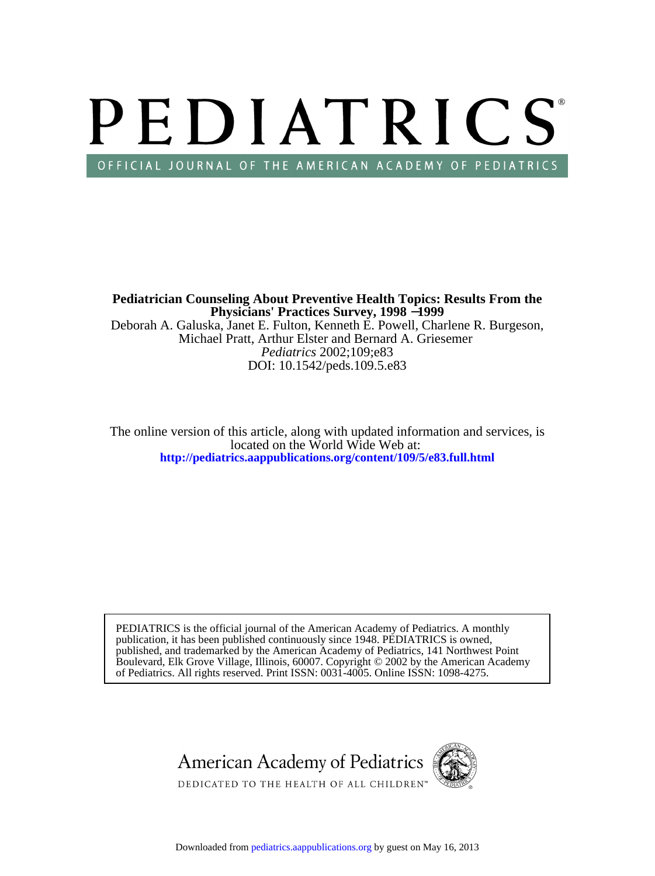# PEDIATRICS OFFICIAL JOURNAL OF THE AMERICAN ACADEMY OF PEDIATRICS

DOI: 10.1542/peds.109.5.e83 *Pediatrics* 2002;109;e83 Michael Pratt, Arthur Elster and Bernard A. Griesemer Deborah A. Galuska, Janet E. Fulton, Kenneth E. Powell, Charlene R. Burgeson, **Physicians' Practices Survey, 1998** −**1999 Pediatrician Counseling About Preventive Health Topics: Results From the**

**<http://pediatrics.aappublications.org/content/109/5/e83.full.html>** located on the World Wide Web at: The online version of this article, along with updated information and services, is

of Pediatrics. All rights reserved. Print ISSN: 0031-4005. Online ISSN: 1098-4275. Boulevard, Elk Grove Village, Illinois, 60007. Copyright © 2002 by the American Academy published, and trademarked by the American Academy of Pediatrics, 141 Northwest Point publication, it has been published continuously since 1948. PEDIATRICS is owned, PEDIATRICS is the official journal of the American Academy of Pediatrics. A monthly



Downloaded from [pediatrics.aappublications.org](http://pediatrics.aappublications.org/) by guest on May 16, 2013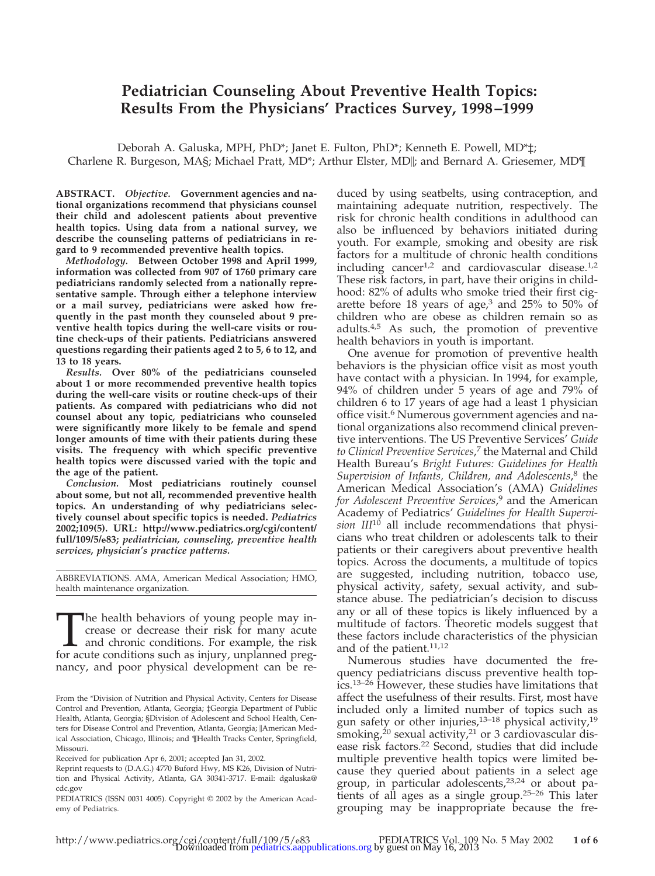# **Pediatrician Counseling About Preventive Health Topics: Results From the Physicians' Practices Survey, 1998–1999**

Deborah A. Galuska, MPH, PhD\*; Janet E. Fulton, PhD\*; Kenneth E. Powell, MD\*‡; Charlene R. Burgeson, MA§; Michael Pratt, MD<sup>\*</sup>; Arthur Elster, MD||; and Bernard A. Griesemer, MD¶

**ABSTRACT.** *Objective.* **Government agencies and national organizations recommend that physicians counsel their child and adolescent patients about preventive health topics. Using data from a national survey, we describe the counseling patterns of pediatricians in regard to 9 recommended preventive health topics.**

*Methodology.* **Between October 1998 and April 1999, information was collected from 907 of 1760 primary care pediatricians randomly selected from a nationally representative sample. Through either a telephone interview or a mail survey, pediatricians were asked how frequently in the past month they counseled about 9 preventive health topics during the well-care visits or routine check-ups of their patients. Pediatricians answered questions regarding their patients aged 2 to 5, 6 to 12, and 13 to 18 years.**

*Results.* **Over 80% of the pediatricians counseled about 1 or more recommended preventive health topics during the well-care visits or routine check-ups of their patients. As compared with pediatricians who did not counsel about any topic, pediatricians who counseled were significantly more likely to be female and spend longer amounts of time with their patients during these visits. The frequency with which specific preventive health topics were discussed varied with the topic and the age of the patient.**

*Conclusion.* **Most pediatricians routinely counsel about some, but not all, recommended preventive health topics. An understanding of why pediatricians selectively counsel about specific topics is needed.** *Pediatrics* **2002;109(5). URL: http://www.pediatrics.org/cgi/content/ full/109/5/e83;** *pediatrician, counseling, preventive health services, physician's practice patterns.*

ABBREVIATIONS. AMA, American Medical Association; HMO, health maintenance organization.

The health behaviors of young people may increase or decrease their risk for many acute and chronic conditions. For example, the risk for acute conditions such as injury, unplanned pregcrease or decrease their risk for many acute and chronic conditions. For example, the risk for acute conditions such as injury, unplanned pregnancy, and poor physical development can be reduced by using seatbelts, using contraception, and maintaining adequate nutrition, respectively. The risk for chronic health conditions in adulthood can also be influenced by behaviors initiated during youth. For example, smoking and obesity are risk factors for a multitude of chronic health conditions including cancer<sup>1,2</sup> and cardiovascular disease.<sup>1,2</sup> These risk factors, in part, have their origins in childhood: 82% of adults who smoke tried their first cigarette before 18 years of age, $3$  and 25% to 50% of children who are obese as children remain so as adults.4,5 As such, the promotion of preventive health behaviors in youth is important.

One avenue for promotion of preventive health behaviors is the physician office visit as most youth have contact with a physician. In 1994, for example, 94% of children under 5 years of age and 79% of children 6 to 17 years of age had a least 1 physician office visit.<sup>6</sup> Numerous government agencies and national organizations also recommend clinical preventive interventions. The US Preventive Services' *Guide to Clinical Preventive Services*, <sup>7</sup> the Maternal and Child Health Bureau's *Bright Futures: Guidelines for Health Supervision of Infants, Children, and Adolescents*, <sup>8</sup> the American Medical Association's (AMA) *Guidelines for Adolescent Preventive Services*, <sup>9</sup> and the American Academy of Pediatrics' *Guidelines for Health Supervi* $s$ *ion III*<sup>10</sup> all include recommendations that physicians who treat children or adolescents talk to their patients or their caregivers about preventive health topics. Across the documents, a multitude of topics are suggested, including nutrition, tobacco use, physical activity, safety, sexual activity, and substance abuse. The pediatrician's decision to discuss any or all of these topics is likely influenced by a multitude of factors. Theoretic models suggest that these factors include characteristics of the physician and of the patient. $11,12$ 

Numerous studies have documented the frequency pediatricians discuss preventive health topics.13–26 However, these studies have limitations that affect the usefulness of their results. First, most have included only a limited number of topics such as gun safety or other injuries,<sup>13-18</sup> physical activity,<sup>19</sup> smoking, $^{20}$  sexual activity, $^{21}$  or 3 cardiovascular disease risk factors.<sup>22</sup> Second, studies that did include multiple preventive health topics were limited because they queried about patients in a select age group, in particular adolescents,23,24 or about patients of all ages as a single group.25–26 This later grouping may be inappropriate because the fre-

From the \*Division of Nutrition and Physical Activity, Centers for Disease Control and Prevention, Atlanta, Georgia; ‡Georgia Department of Public Health, Atlanta, Georgia; §Division of Adolescent and School Health, Centers for Disease Control and Prevention, Atlanta, Georgia; ||American Medical Association, Chicago, Illinois; and ¶Health Tracks Center, Springfield, Missouri.

Received for publication Apr 6, 2001; accepted Jan 31, 2002.

Reprint requests to (D.A.G.) 4770 Buford Hwy, MS K26, Division of Nutrition and Physical Activity, Atlanta, GA 30341-3717. E-mail: dgaluska@ cdc.gov

PEDIATRICS (ISSN 0031 4005). Copyright © 2002 by the American Academy of Pediatrics.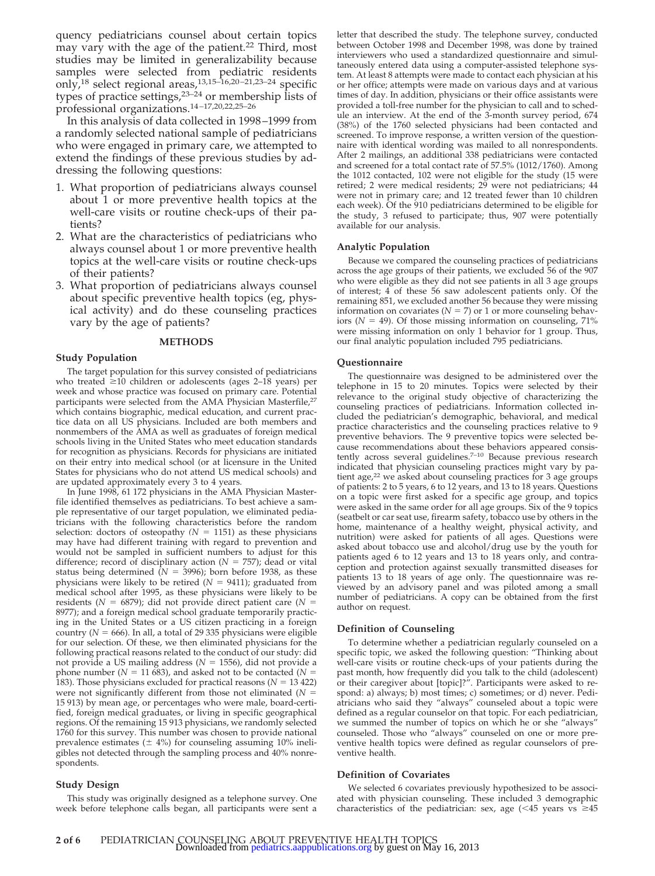quency pediatricians counsel about certain topics may vary with the age of the patient.<sup>22</sup> Third, most studies may be limited in generalizability because samples were selected from pediatric residents only,<sup>18</sup> select regional areas,<sup>13,15–16,20–21,23–24</sup> specific types of practice settings,<sup>23-24</sup> or membership lists of professional organizations.14–17,20,22,25–26

In this analysis of data collected in 1998–1999 from a randomly selected national sample of pediatricians who were engaged in primary care, we attempted to extend the findings of these previous studies by addressing the following questions:

- 1. What proportion of pediatricians always counsel about 1 or more preventive health topics at the well-care visits or routine check-ups of their patients?
- 2. What are the characteristics of pediatricians who always counsel about 1 or more preventive health topics at the well-care visits or routine check-ups of their patients?
- 3. What proportion of pediatricians always counsel about specific preventive health topics (eg, physical activity) and do these counseling practices vary by the age of patients?

#### **METHODS**

#### **Study Population**

The target population for this survey consisted of pediatricians who treated  $\geq$ 10 children or adolescents (ages 2–18 years) per week and whose practice was focused on primary care. Potential participants were selected from the AMA Physician Masterfile,<sup>27</sup> which contains biographic, medical education, and current practice data on all US physicians. Included are both members and nonmembers of the AMA as well as graduates of foreign medical schools living in the United States who meet education standards for recognition as physicians. Records for physicians are initiated on their entry into medical school (or at licensure in the United States for physicians who do not attend US medical schools) and are updated approximately every 3 to 4 years.

In June 1998, 61 172 physicians in the AMA Physician Masterfile identified themselves as pediatricians. To best achieve a sample representative of our target population, we eliminated pediatricians with the following characteristics before the random selection: doctors of osteopathy  $(N = 1151)$  as these physicians may have had different training with regard to prevention and would not be sampled in sufficient numbers to adjust for this difference; record of disciplinary action  $(N = 757)$ ; dead or vital status being determined  $(N = 3996)$ ; born before 1938, as these physicians were likely to be retired  $(N = 9411)$ ; graduated from medical school after 1995, as these physicians were likely to be residents ( $N = 6879$ ); did not provide direct patient care ( $N =$ 8977); and a foreign medical school graduate temporarily practicing in the United States or a US citizen practicing in a foreign country ( $N = 666$ ). In all, a total of 29 335 physicians were eligible for our selection. Of these, we then eliminated physicians for the following practical reasons related to the conduct of our study: did not provide a US mailing address ( $N = 1556$ ), did not provide a phone number ( $N = 11683$ ), and asked not to be contacted ( $N =$ 183). Those physicians excluded for practical reasons ( $N = 13 422$ ) were not significantly different from those not eliminated (*N* 15 913) by mean age, or percentages who were male, board-certified, foreign medical graduates, or living in specific geographical regions. Of the remaining 15 913 physicians, we randomly selected 1760 for this survey. This number was chosen to provide national prevalence estimates ( $\pm$  4%) for counseling assuming 10% ineligibles not detected through the sampling process and 40% nonrespondents.

#### **Study Design**

This study was originally designed as a telephone survey. One week before telephone calls began, all participants were sent a letter that described the study. The telephone survey, conducted between October 1998 and December 1998, was done by trained interviewers who used a standardized questionnaire and simultaneously entered data using a computer-assisted telephone system. At least 8 attempts were made to contact each physician at his or her office; attempts were made on various days and at various times of day. In addition, physicians or their office assistants were provided a toll-free number for the physician to call and to schedule an interview. At the end of the 3-month survey period, 674 (38%) of the 1760 selected physicians had been contacted and screened. To improve response, a written version of the questionnaire with identical wording was mailed to all nonrespondents. After 2 mailings, an additional 338 pediatricians were contacted and screened for a total contact rate of 57.5% (1012/1760). Among the 1012 contacted, 102 were not eligible for the study (15 were retired; 2 were medical residents; 29 were not pediatricians; 44 were not in primary care; and 12 treated fewer than 10 children each week). Of the 910 pediatricians determined to be eligible for the study, 3 refused to participate; thus, 907 were potentially available for our analysis.

#### **Analytic Population**

Because we compared the counseling practices of pediatricians across the age groups of their patients, we excluded 56 of the 907 who were eligible as they did not see patients in all 3 age groups of interest; 4 of these 56 saw adolescent patients only. Of the remaining 851, we excluded another 56 because they were missing information on covariates ( $N = 7$ ) or 1 or more counseling behaviors ( $N = 49$ ). Of those missing information on counseling, 71% were missing information on only 1 behavior for 1 group. Thus, our final analytic population included 795 pediatricians.

#### **Questionnaire**

The questionnaire was designed to be administered over the telephone in 15 to 20 minutes. Topics were selected by their relevance to the original study objective of characterizing the counseling practices of pediatricians. Information collected included the pediatrician's demographic, behavioral, and medical practice characteristics and the counseling practices relative to 9 preventive behaviors. The 9 preventive topics were selected because recommendations about these behaviors appeared consistently across several guidelines.<sup>7-10</sup> Because previous research indicated that physician counseling practices might vary by patient age,<sup>22</sup> we asked about counseling practices for 3 age groups of patients: 2 to 5 years, 6 to 12 years, and 13 to 18 years. Questions on a topic were first asked for a specific age group, and topics were asked in the same order for all age groups. Six of the 9 topics (seatbelt or car seat use, firearm safety, tobacco use by others in the home, maintenance of a healthy weight, physical activity, and nutrition) were asked for patients of all ages. Questions were asked about tobacco use and alcohol/drug use by the youth for patients aged 6 to 12 years and 13 to 18 years only, and contraception and protection against sexually transmitted diseases for patients 13 to 18 years of age only. The questionnaire was reviewed by an advisory panel and was piloted among a small number of pediatricians. A copy can be obtained from the first author on request.

#### **Definition of Counseling**

To determine whether a pediatrician regularly counseled on a specific topic, we asked the following question: "Thinking about well-care visits or routine check-ups of your patients during the past month, how frequently did you talk to the child (adolescent) or their caregiver about [topic]?". Participants were asked to respond: a) always; b) most times; c) sometimes; or d) never. Pediatricians who said they "always" counseled about a topic were defined as a regular counselor on that topic. For each pediatrician, we summed the number of topics on which he or she "always" counseled. Those who "always" counseled on one or more preventive health topics were defined as regular counselors of preventive health.

#### **Definition of Covariates**

We selected 6 covariates previously hypothesized to be associated with physician counseling. These included 3 demographic characteristics of the pediatrician: sex, age  $\leq 45$  years vs  $\geq 45$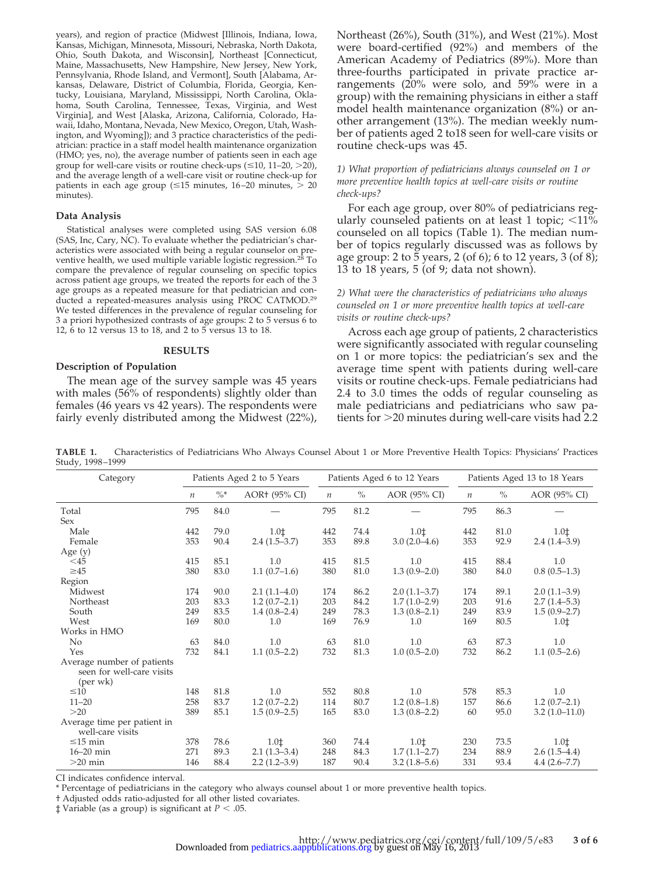years), and region of practice (Midwest [Illinois, Indiana, Iowa, Kansas, Michigan, Minnesota, Missouri, Nebraska, North Dakota, Ohio, South Dakota, and Wisconsin], Northeast [Connecticut, Maine, Massachusetts, New Hampshire, New Jersey, New York, Pennsylvania, Rhode Island, and Vermont], South [Alabama, Arkansas, Delaware, District of Columbia, Florida, Georgia, Kentucky, Louisiana, Maryland, Mississippi, North Carolina, Oklahoma, South Carolina, Tennessee, Texas, Virginia, and West Virginia], and West [Alaska, Arizona, California, Colorado, Hawaii, Idaho, Montana, Nevada, New Mexico, Oregon, Utah, Washington, and Wyoming]); and 3 practice characteristics of the pediatrician: practice in a staff model health maintenance organization (HMO; yes, no), the average number of patients seen in each age group for well-care visits or routine check-ups  $(\leq 10, 11-20, >20)$ , and the average length of a well-care visit or routine check-up for patients in each age group ( $\leq 15$  minutes, 16-20 minutes,  $> 20$ minutes).

#### **Data Analysis**

Statistical analyses were completed using SAS version 6.08 (SAS, Inc, Cary, NC). To evaluate whether the pediatrician's characteristics were associated with being a regular counselor on preventive health, we used multiple variable logistic regression.28 To compare the prevalence of regular counseling on specific topics across patient age groups, we treated the reports for each of the 3 age groups as a repeated measure for that pediatrician and conducted a repeated-measures analysis using PROC CATMOD.29 We tested differences in the prevalence of regular counseling for 3 a priori hypothesized contrasts of age groups: 2 to 5 versus 6 to 12, 6 to 12 versus 13 to 18, and 2 to 5 versus 13 to 18.

#### **RESULTS**

#### **Description of Population**

The mean age of the survey sample was 45 years with males (56% of respondents) slightly older than females (46 years vs 42 years). The respondents were fairly evenly distributed among the Midwest (22%), Northeast (26%), South (31%), and West (21%). Most were board-certified (92%) and members of the American Academy of Pediatrics (89%). More than three-fourths participated in private practice arrangements (20% were solo, and 59% were in a group) with the remaining physicians in either a staff model health maintenance organization (8%) or another arrangement (13%). The median weekly number of patients aged 2 to18 seen for well-care visits or routine check-ups was 45.

# *1) What proportion of pediatricians always counseled on 1 or more preventive health topics at well-care visits or routine check-ups?*

For each age group, over 80% of pediatricians regularly counseled patients on at least 1 topic;  $\langle 11 \rangle$ counseled on all topics (Table 1). The median number of topics regularly discussed was as follows by age group: 2 to 5 years, 2 (of 6); 6 to 12 years, 3 (of 8); 13 to 18 years, 5 (of 9; data not shown).

## *2) What were the characteristics of pediatricians who always counseled on 1 or more preventive health topics at well-care visits or routine check-ups?*

Across each age group of patients, 2 characteristics were significantly associated with regular counseling on 1 or more topics: the pediatrician's sex and the average time spent with patients during well-care visits or routine check-ups. Female pediatricians had 2.4 to 3.0 times the odds of regular counseling as male pediatricians and pediatricians who saw patients for 20 minutes during well-care visits had 2.2

**TABLE 1.** Characteristics of Pediatricians Who Always Counsel About 1 or More Preventive Health Topics: Physicians' Practices Study, 1998–1999

| Category                    | Patients Aged 2 to 5 Years |        |                | Patients Aged 6 to 12 Years |      |                  | Patients Aged 13 to 18 Years |               |                  |
|-----------------------------|----------------------------|--------|----------------|-----------------------------|------|------------------|------------------------------|---------------|------------------|
|                             | $\boldsymbol{n}$           | $\% *$ | AOR† (95% CI)  | $\boldsymbol{n}$            | $\%$ | AOR (95% CI)     | $\boldsymbol{n}$             | $\frac{0}{0}$ | AOR (95% CI)     |
| Total                       | 795                        | 84.0   |                | 795                         | 81.2 |                  | 795                          | 86.3          |                  |
| <b>Sex</b>                  |                            |        |                |                             |      |                  |                              |               |                  |
| Male                        | 442                        | 79.0   | 1.01           | 442                         | 74.4 | 1.01             | 442                          | 81.0          | 1.01             |
| Female                      | 353                        | 90.4   | $2.4(1.5-3.7)$ | 353                         | 89.8 | $3.0(2.0-4.6)$   | 353                          | 92.9          | $2.4(1.4-3.9)$   |
| Age $(y)$                   |                            |        |                |                             |      |                  |                              |               |                  |
| $<$ 45                      | 415                        | 85.1   | 1.0            | 415                         | 81.5 | 1.0              | 415                          | 88.4          | 1.0              |
| $\geq 45$                   | 380                        | 83.0   | $1.1(0.7-1.6)$ | 380                         | 81.0 | $1.3(0.9 - 2.0)$ | 380                          | 84.0          | $0.8(0.5-1.3)$   |
| Region                      |                            |        |                |                             |      |                  |                              |               |                  |
| Midwest                     | 174                        | 90.0   | $2.1(1.1-4.0)$ | 174                         | 86.2 | $2.0(1.1-3.7)$   | 174                          | 89.1          | $2.0(1.1-3.9)$   |
| Northeast                   | 203                        | 83.3   | $1.2(0.7-2.1)$ | 203                         | 84.2 | $1.7(1.0-2.9)$   | 203                          | 91.6          | $2.7(1.4-5.3)$   |
| South                       | 249                        | 83.5   | $1.4(0.8-2.4)$ | 249                         | 78.3 | $1.3(0.8-2.1)$   | 249                          | 83.9          | $1.5(0.9-2.7)$   |
| West                        | 169                        | 80.0   | 1.0            | 169                         | 76.9 | 1.0              | 169                          | 80.5          | 1.01             |
| Works in HMO                |                            |        |                |                             |      |                  |                              |               |                  |
| No                          | 63                         | 84.0   | 1.0            | 63                          | 81.0 | 1.0              | 63                           | 87.3          | 1.0              |
| Yes                         | 732                        | 84.1   | $1.1(0.5-2.2)$ | 732                         | 81.3 | $1.0(0.5-2.0)$   | 732                          | 86.2          | $1.1(0.5-2.6)$   |
| Average number of patients  |                            |        |                |                             |      |                  |                              |               |                  |
| seen for well-care visits   |                            |        |                |                             |      |                  |                              |               |                  |
| (per wk)                    |                            |        |                |                             |      |                  |                              |               |                  |
| $\leq 10$                   | 148                        | 81.8   | 1.0            | 552                         | 80.8 | 1.0              | 578                          | 85.3          | 1.0              |
| $11 - 20$                   | 258                        | 83.7   | $1.2(0.7-2.2)$ | 114                         | 80.7 | $1.2(0.8-1.8)$   | 157                          | 86.6          | $1.2(0.7-2.1)$   |
| >20                         | 389                        | 85.1   | $1.5(0.9-2.5)$ | 165                         | 83.0 | $1.3(0.8-2.2)$   | 60                           | 95.0          | $3.2(1.0-11.0)$  |
| Average time per patient in |                            |        |                |                             |      |                  |                              |               |                  |
| well-care visits            |                            |        |                |                             |      |                  |                              |               |                  |
| $\leq$ 15 min               | 378                        | 78.6   | 1.01           | 360                         | 74.4 | 1.01             | 230                          | 73.5          | 1.01             |
| $16-20$ min                 | 271                        | 89.3   | $2.1(1.3-3.4)$ | 248                         | 84.3 | $1.7(1.1-2.7)$   | 234                          | 88.9          | $2.6(1.5-4.4)$   |
| $>20$ min                   | 146                        | 88.4   | $2.2(1.2-3.9)$ | 187                         | 90.4 | $3.2(1.8-5.6)$   | 331                          | 93.4          | $4.4(2.6 - 7.7)$ |

CI indicates confidence interval.

\* Percentage of pediatricians in the category who always counsel about 1 or more preventive health topics.

† Adjusted odds ratio-adjusted for all other listed covariates.

 $\ddagger$  Variable (as a group) is significant at *P* < .05.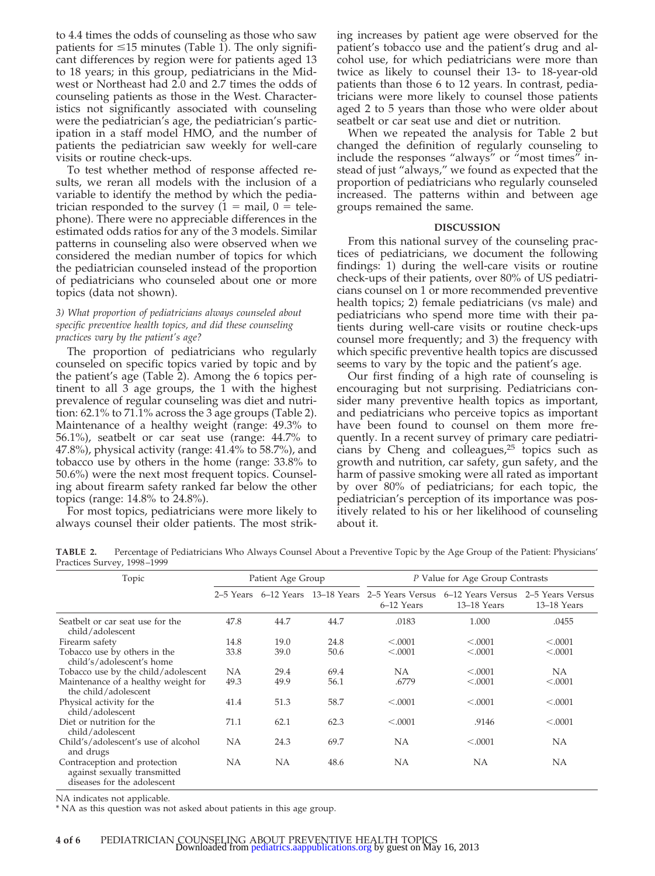to 4.4 times the odds of counseling as those who saw patients for  $\leq$ 15 minutes (Table 1). The only significant differences by region were for patients aged 13 to 18 years; in this group, pediatricians in the Midwest or Northeast had 2.0 and 2.7 times the odds of counseling patients as those in the West. Characteristics not significantly associated with counseling were the pediatrician's age, the pediatrician's participation in a staff model HMO, and the number of patients the pediatrician saw weekly for well-care visits or routine check-ups.

To test whether method of response affected results, we reran all models with the inclusion of a variable to identify the method by which the pediatrician responded to the survey  $(1 = \text{mail}, 0 = \text{tele} - \text{level})$ phone). There were no appreciable differences in the estimated odds ratios for any of the 3 models. Similar patterns in counseling also were observed when we considered the median number of topics for which the pediatrician counseled instead of the proportion of pediatricians who counseled about one or more topics (data not shown).

# *3) What proportion of pediatricians always counseled about specific preventive health topics, and did these counseling practices vary by the patient's age?*

The proportion of pediatricians who regularly counseled on specific topics varied by topic and by the patient's age (Table 2). Among the 6 topics pertinent to all 3 age groups, the 1 with the highest prevalence of regular counseling was diet and nutrition: 62.1% to 71.1% across the 3 age groups (Table 2). Maintenance of a healthy weight (range: 49.3% to 56.1%), seatbelt or car seat use (range: 44.7% to 47.8%), physical activity (range: 41.4% to 58.7%), and tobacco use by others in the home (range: 33.8% to 50.6%) were the next most frequent topics. Counseling about firearm safety ranked far below the other topics (range: 14.8% to 24.8%).

For most topics, pediatricians were more likely to always counsel their older patients. The most striking increases by patient age were observed for the patient's tobacco use and the patient's drug and alcohol use, for which pediatricians were more than twice as likely to counsel their 13- to 18-year-old patients than those 6 to 12 years. In contrast, pediatricians were more likely to counsel those patients aged 2 to 5 years than those who were older about seatbelt or car seat use and diet or nutrition.

When we repeated the analysis for Table 2 but changed the definition of regularly counseling to include the responses "always" or "most times" instead of just "always," we found as expected that the proportion of pediatricians who regularly counseled increased. The patterns within and between age groups remained the same.

# **DISCUSSION**

From this national survey of the counseling practices of pediatricians, we document the following findings: 1) during the well-care visits or routine check-ups of their patients, over 80% of US pediatricians counsel on 1 or more recommended preventive health topics; 2) female pediatricians (vs male) and pediatricians who spend more time with their patients during well-care visits or routine check-ups counsel more frequently; and 3) the frequency with which specific preventive health topics are discussed seems to vary by the topic and the patient's age.

Our first finding of a high rate of counseling is encouraging but not surprising. Pediatricians consider many preventive health topics as important, and pediatricians who perceive topics as important have been found to counsel on them more frequently. In a recent survey of primary care pediatricians by Cheng and colleagues,25 topics such as growth and nutrition, car safety, gun safety, and the harm of passive smoking were all rated as important by over 80% of pediatricians; for each topic, the pediatrician's perception of its importance was positively related to his or her likelihood of counseling about it.

**TABLE 2.** Percentage of Pediatricians Who Always Counsel About a Preventive Topic by the Age Group of the Patient: Physicians' Practices Survey, 1998–1999

| Topic                                                                                       |      | Patient Age Group |      | P Value for Age Group Contrasts |                                                                                    |                                 |  |
|---------------------------------------------------------------------------------------------|------|-------------------|------|---------------------------------|------------------------------------------------------------------------------------|---------------------------------|--|
|                                                                                             |      |                   |      | 6-12 Years                      | 2-5 Years 6-12 Years 13-18 Years 2-5 Years Versus 6-12 Years Versus<br>13-18 Years | 2–5 Years Versus<br>13-18 Years |  |
| Seatbelt or car seat use for the<br>child/adolescent                                        | 47.8 | 44.7              | 44.7 | .0183                           | 1.000                                                                              | .0455                           |  |
| Firearm safety                                                                              | 14.8 | 19.0              | 24.8 | < .0001                         | < .0001                                                                            | < .0001                         |  |
| Tobacco use by others in the<br>child's/adolescent's home                                   | 33.8 | 39.0              | 50.6 | < .0001                         | < .0001                                                                            | < .0001                         |  |
| Tobacco use by the child/adolescent                                                         | NA   | 29.4              | 69.4 | NA                              | < .0001                                                                            | NA                              |  |
| Maintenance of a healthy weight for<br>the child/adolescent                                 | 49.3 | 49.9              | 56.1 | .6779                           | < .0001                                                                            | < .0001                         |  |
| Physical activity for the<br>child/adolescent                                               | 41.4 | 51.3              | 58.7 | < .0001                         | < .0001                                                                            | < .0001                         |  |
| Diet or nutrition for the<br>child/adolescent                                               | 71.1 | 62.1              | 62.3 | < .0001                         | .9146                                                                              | < .0001                         |  |
| Child's/adolescent's use of alcohol<br>and drugs                                            | NА   | 24.3              | 69.7 | NA                              | < .0001                                                                            | NA                              |  |
| Contraception and protection<br>against sexually transmitted<br>diseases for the adolescent | NA   | NA                | 48.6 | NA                              | <b>NA</b>                                                                          | NA                              |  |

NA indicates not applicable.

\* NA as this question was not asked about patients in this age group.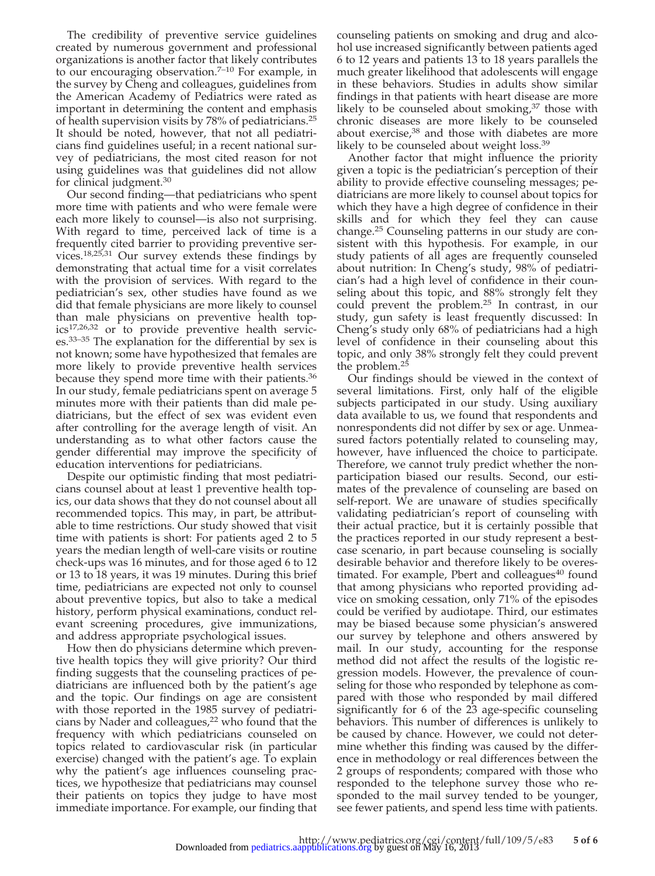The credibility of preventive service guidelines created by numerous government and professional organizations is another factor that likely contributes to our encouraging observation. $7-10$  For example, in the survey by Cheng and colleagues, guidelines from the American Academy of Pediatrics were rated as important in determining the content and emphasis of health supervision visits by 78% of pediatricians.25 It should be noted, however, that not all pediatricians find guidelines useful; in a recent national survey of pediatricians, the most cited reason for not using guidelines was that guidelines did not allow for clinical judgment.30

Our second finding—that pediatricians who spent more time with patients and who were female were each more likely to counsel—is also not surprising. With regard to time, perceived lack of time is a frequently cited barrier to providing preventive services.18,25,31 Our survey extends these findings by demonstrating that actual time for a visit correlates with the provision of services. With regard to the pediatrician's sex, other studies have found as we did that female physicians are more likely to counsel than male physicians on preventive health topics17,26,32 or to provide preventive health services.33–35 The explanation for the differential by sex is not known; some have hypothesized that females are more likely to provide preventive health services because they spend more time with their patients.36 In our study, female pediatricians spent on average 5 minutes more with their patients than did male pediatricians, but the effect of sex was evident even after controlling for the average length of visit. An understanding as to what other factors cause the gender differential may improve the specificity of education interventions for pediatricians.

Despite our optimistic finding that most pediatricians counsel about at least 1 preventive health topics, our data shows that they do not counsel about all recommended topics. This may, in part, be attributable to time restrictions. Our study showed that visit time with patients is short: For patients aged 2 to 5 years the median length of well-care visits or routine check-ups was 16 minutes, and for those aged 6 to 12 or 13 to 18 years, it was 19 minutes. During this brief time, pediatricians are expected not only to counsel about preventive topics, but also to take a medical history, perform physical examinations, conduct relevant screening procedures, give immunizations, and address appropriate psychological issues.

How then do physicians determine which preventive health topics they will give priority? Our third finding suggests that the counseling practices of pediatricians are influenced both by the patient's age and the topic. Our findings on age are consistent with those reported in the 1985 survey of pediatricians by Nader and colleagues,<sup>22</sup> who found that the frequency with which pediatricians counseled on topics related to cardiovascular risk (in particular exercise) changed with the patient's age. To explain why the patient's age influences counseling practices, we hypothesize that pediatricians may counsel their patients on topics they judge to have most immediate importance. For example, our finding that

counseling patients on smoking and drug and alcohol use increased significantly between patients aged 6 to 12 years and patients 13 to 18 years parallels the much greater likelihood that adolescents will engage in these behaviors. Studies in adults show similar findings in that patients with heart disease are more likely to be counseled about smoking, $37$  those with chronic diseases are more likely to be counseled about exercise,<sup>38</sup> and those with diabetes are more likely to be counseled about weight loss.<sup>39</sup>

Another factor that might influence the priority given a topic is the pediatrician's perception of their ability to provide effective counseling messages; pediatricians are more likely to counsel about topics for which they have a high degree of confidence in their skills and for which they feel they can cause change.25 Counseling patterns in our study are consistent with this hypothesis. For example, in our study patients of all ages are frequently counseled about nutrition: In Cheng's study, 98% of pediatrician's had a high level of confidence in their counseling about this topic, and 88% strongly felt they could prevent the problem.25 In contrast, in our study, gun safety is least frequently discussed: In Cheng's study only 68% of pediatricians had a high level of confidence in their counseling about this topic, and only 38% strongly felt they could prevent the problem.<sup>25</sup>

Our findings should be viewed in the context of several limitations. First, only half of the eligible subjects participated in our study. Using auxiliary data available to us, we found that respondents and nonrespondents did not differ by sex or age. Unmeasured factors potentially related to counseling may, however, have influenced the choice to participate. Therefore, we cannot truly predict whether the nonparticipation biased our results. Second, our estimates of the prevalence of counseling are based on self-report. We are unaware of studies specifically validating pediatrician's report of counseling with their actual practice, but it is certainly possible that the practices reported in our study represent a bestcase scenario, in part because counseling is socially desirable behavior and therefore likely to be overestimated. For example, Pbert and colleagues $40$  found that among physicians who reported providing advice on smoking cessation, only 71% of the episodes could be verified by audiotape. Third, our estimates may be biased because some physician's answered our survey by telephone and others answered by mail. In our study, accounting for the response method did not affect the results of the logistic regression models. However, the prevalence of counseling for those who responded by telephone as compared with those who responded by mail differed significantly for 6 of the 23 age-specific counseling behaviors. This number of differences is unlikely to be caused by chance. However, we could not determine whether this finding was caused by the difference in methodology or real differences between the 2 groups of respondents; compared with those who responded to the telephone survey those who responded to the mail survey tended to be younger, see fewer patients, and spend less time with patients.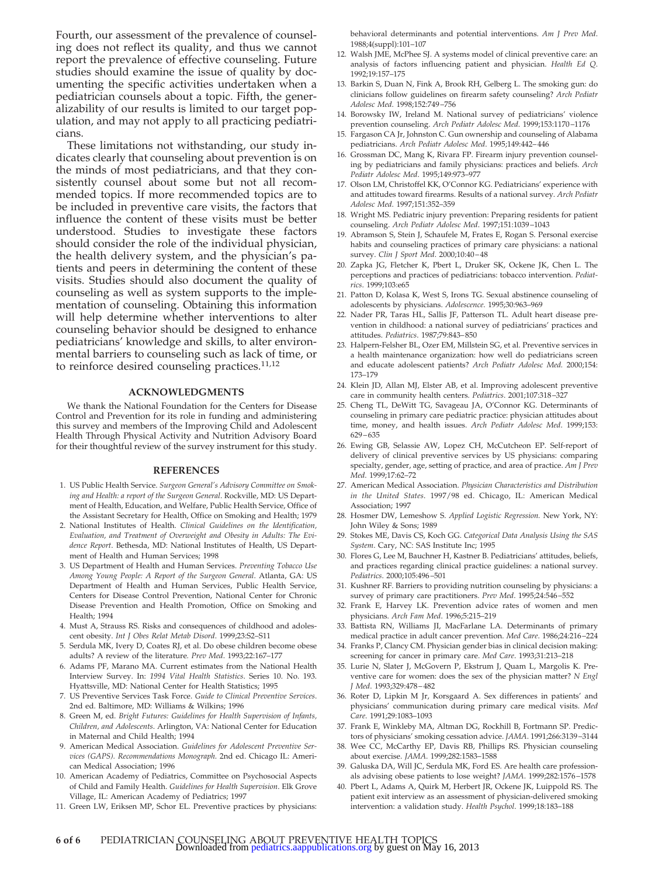Fourth, our assessment of the prevalence of counseling does not reflect its quality, and thus we cannot report the prevalence of effective counseling. Future studies should examine the issue of quality by documenting the specific activities undertaken when a pediatrician counsels about a topic. Fifth, the generalizability of our results is limited to our target population, and may not apply to all practicing pediatricians.

These limitations not withstanding, our study indicates clearly that counseling about prevention is on the minds of most pediatricians, and that they consistently counsel about some but not all recommended topics. If more recommended topics are to be included in preventive care visits, the factors that influence the content of these visits must be better understood. Studies to investigate these factors should consider the role of the individual physician, the health delivery system, and the physician's patients and peers in determining the content of these visits. Studies should also document the quality of counseling as well as system supports to the implementation of counseling. Obtaining this information will help determine whether interventions to alter counseling behavior should be designed to enhance pediatricians' knowledge and skills, to alter environmental barriers to counseling such as lack of time, or to reinforce desired counseling practices.<sup>11,12</sup>

# **ACKNOWLEDGMENTS**

We thank the National Foundation for the Centers for Disease Control and Prevention for its role in funding and administering this survey and members of the Improving Child and Adolescent Health Through Physical Activity and Nutrition Advisory Board for their thoughtful review of the survey instrument for this study.

#### **REFERENCES**

- 1. US Public Health Service. *Surgeon General's Advisory Committee on Smoking and Health: a report of the Surgeon General*. Rockville, MD: US Department of Health, Education, and Welfare, Public Health Service, Office of the Assistant Secretary for Health, Office on Smoking and Health; 1979
- 2. National Institutes of Health. *Clinical Guidelines on the Identification, Evaluation, and Treatment of Overweight and Obesity in Adults: The Evidence Report*. Bethesda, MD: National Institutes of Health, US Department of Health and Human Services; 1998
- 3. US Department of Health and Human Services. *Preventing Tobacco Use Among Young People: A Report of the Surgeon General*. Atlanta, GA: US Department of Health and Human Services, Public Health Service, Centers for Disease Control Prevention, National Center for Chronic Disease Prevention and Health Promotion, Office on Smoking and Health; 1994
- 4. Must A, Strauss RS. Risks and consequences of childhood and adolescent obesity. *Int J Obes Relat Metab Disord*. 1999;23:S2–S11
- 5. Serdula MK, Ivery D, Coates RJ, et al. Do obese children become obese adults? A review of the literature*. Prev Med*. 1993;22:167–177
- 6. Adams PF, Marano MA. Current estimates from the National Health Interview Survey. In: *1994 Vital Health Statistics*. Series 10. No. 193. Hyattsville, MD: National Center for Health Statistics; 1995
- 7. US Preventive Services Task Force. *Guide to Clinical Preventive Services*. 2nd ed. Baltimore, MD: Williams & Wilkins; 1996
- 8. Green M, ed. *Bright Futures: Guidelines for Health Supervision of Infants, Children, and Adolescents*. Arlington, VA: National Center for Education in Maternal and Child Health; 1994
- 9. American Medical Association. *Guidelines for Adolescent Preventive Services (GAPS). Recommendations Monograph*. 2nd ed. Chicago IL: American Medical Association; 1996
- 10. American Academy of Pediatrics, Committee on Psychosocial Aspects of Child and Family Health. *Guidelines for Health Supervision*. Elk Grove Village, IL: American Academy of Pediatrics; 1997
- 11. Green LW, Eriksen MP, Schor EL. Preventive practices by physicians:

behavioral determinants and potential interventions. *Am J Prev Med*. 1988;4(suppl):101–107

- 12. Walsh JME, McPhee SJ. A systems model of clinical preventive care: an analysis of factors influencing patient and physician. *Health Ed Q*. 1992;19:157–175
- 13. Barkin S, Duan N, Fink A, Brook RH, Gelberg L. The smoking gun: do clinicians follow guidelines on firearm safety counseling? *Arch Pediatr Adolesc Med*. 1998;152:749–756
- 14. Borowsky IW, Ireland M. National survey of pediatricians' violence prevention counseling. *Arch Pediatr Adolesc Med*. 1999;153:1170–1176
- 15. Fargason CA Jr, Johnston C. Gun ownership and counseling of Alabama pediatricians. *Arch Pediatr Adolesc Med*. 1995;149:442–446
- 16. Grossman DC, Mang K, Rivara FP. Firearm injury prevention counseling by pediatricians and family physicians: practices and beliefs. *Arch Pediatr Adolesc Med*. 1995;149:973–977
- 17. Olson LM, Christoffel KK, O'Connor KG. Pediatricians' experience with and attitudes toward firearms. Results of a national survey. *Arch Pediatr Adolesc Med*. 1997;151:352–359
- 18. Wright MS. Pediatric injury prevention: Preparing residents for patient counseling. *Arch Pediatr Adolesc Med*. 1997;151:1039–1043
- 19. Abramson S, Stein J, Schaufele M, Frates E, Rogan S. Personal exercise habits and counseling practices of primary care physicians: a national survey. *Clin J Sport Med*. 2000;10:40–48
- 20. Zapka JG, Fletcher K, Pbert L, Druker SK, Ockene JK, Chen L. The perceptions and practices of pediatricians: tobacco intervention. *Pediatrics*. 1999;103:e65
- 21. Patton D, Kolasa K, West S, Irons TG. Sexual abstinence counseling of adolescents by physicians. *Adolescence*. 1995;30:963–969
- 22. Nader PR, Taras HL, Sallis JF, Patterson TL. Adult heart disease prevention in childhood: a national survey of pediatricians' practices and attitudes. *Pediatrics*. 1987;79:843–850
- 23. Halpern-Felsher BL, Ozer EM, Millstein SG, et al. Preventive services in a health maintenance organization: how well do pediatricians screen and educate adolescent patients? *Arch Pediatr Adolesc Med.* 2000;154: 173–179
- 24. Klein JD, Allan MJ, Elster AB, et al. Improving adolescent preventive care in community health centers. *Pediatrics*. 2001;107:318–327
- 25. Cheng TL, DeWitt TG, Savageau JA, O'Connor KG. Determinants of counseling in primary care pediatric practice: physician attitudes about time, money, and health issues. *Arch Pediatr Adolesc Med*. 1999;153: 629–635
- 26. Ewing GB, Selassie AW, Lopez CH, McCutcheon EP. Self-report of delivery of clinical preventive services by US physicians: comparing specialty, gender, age, setting of practice, and area of practice. *Am J Prev Med*. 1999;17:62–72
- 27. American Medical Association. *Physician Characteristics and Distribution in the United States*. 1997/98 ed. Chicago, IL: American Medical Association; 1997
- 28. Hosmer DW, Lemeshow S. *Applied Logistic Regression.* New York, NY: John Wiley & Sons; 1989
- 29. Stokes ME, Davis CS, Koch GG. *Categorical Data Analysis Using the SAS System*. Cary, NC: SAS Institute Inc; 1995
- 30. Flores G, Lee M, Bauchner H, Kastner B. Pediatricians' attitudes, beliefs, and practices regarding clinical practice guidelines: a national survey. *Pediatrics*. 2000;105:496–501
- 31. Kushner RF. Barriers to providing nutrition counseling by physicians: a survey of primary care practitioners. *Prev Med*. 1995;24:546–552
- 32. Frank E, Harvey LK. Prevention advice rates of women and men physicians. *Arch Fam Med*. 1996;5:215–219
- 33. Battista RN, Williams JI, MacFarlane LA. Determinants of primary medical practice in adult cancer prevention. *Med Care*. 1986;24:216–224
- 34. Franks P, Clancy CM. Physician gender bias in clinical decision making: screening for cancer in primary care. *Med Care*. 1993;31:213–218
- 35. Lurie N, Slater J, McGovern P, Ekstrum J, Quam L, Margolis K. Preventive care for women: does the sex of the physician matter? *N Engl J Med*. 1993;329:478–482
- 36. Roter D, Lipkin M Jr, Korsgaard A. Sex differences in patients' and physicians' communication during primary care medical visits. *Med Care*. 1991;29:1083–1093
- 37. Frank E, Winkleby MA, Altman DG, Rockhill B, Fortmann SP. Predic-
- tors of physicians' smoking cessation advice. *JAMA*. 1991;266:3139–3144 38. Wee CC, McCarthy EP, Davis RB, Phillips RS. Physician counseling about exercise. *JAMA*. 1999;282:1583–1588
- 39. Galuska DA, Will JC, Serdula MK, Ford ES. Are health care professionals advising obese patients to lose weight? *JAMA*. 1999;282:1576–1578
- 40. Pbert L, Adams A, Quirk M, Herbert JR, Ockene JK, Luippold RS. The patient exit interview as an assessment of physician-delivered smoking intervention: a validation study. *Health Psychol*. 1999;18:183–188